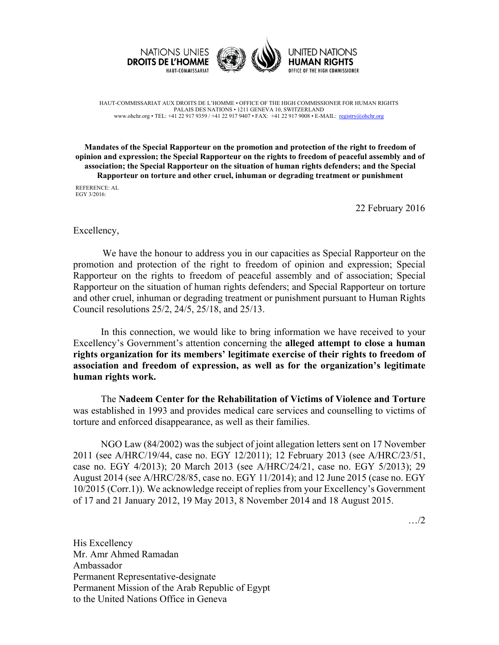



UNITED NATIONS **HUMAN RIGHTS** OFFICE OF THE HIGH COMMISSIONER

HAUT-COMMISSARIAT AUX DROITS DE L'HOMME • OFFICE OF THE HIGH COMMISSIONER FOR HUMAN RIGHTS PALAIS DES NATIONS • 1211 GENEVA 10, SWITZERLAND www.ohchr.org • TEL: +41 22 917 9359 / +41 22 917 9407 • FAX: +41 22 917 9008 • E-MAIL: registry@ohchr.org

**Mandates of the Special Rapporteur on the promotion and protection of the right to freedom of opinion and expression; the Special Rapporteur on the rights to freedom of peaceful assembly and of association; the Special Rapporteur on the situation of human rights defenders; and the Special Rapporteur on torture and other cruel, inhuman or degrading treatment or punishment**

REFERENCE: AL EGY 3/2016:

22 February 2016

## Excellency,

We have the honour to address you in our capacities as Special Rapporteur on the promotion and protection of the right to freedom of opinion and expression; Special Rapporteur on the rights to freedom of peaceful assembly and of association; Special Rapporteur on the situation of human rights defenders; and Special Rapporteur on torture and other cruel, inhuman or degrading treatment or punishment pursuant to Human Rights Council resolutions 25/2, 24/5, 25/18, and 25/13.

In this connection, we would like to bring information we have received to your Excellency's Government's attention concerning the **alleged attempt to close a human rights organization for its members' legitimate exercise of their rights to freedom of association and freedom of expression, as well as for the organization's legitimate human rights work.** 

The **Nadeem Center for the Rehabilitation of Victims of Violence and Torture** was established in 1993 and provides medical care services and counselling to victims of torture and enforced disappearance, as well as their families.

NGO Law (84/2002) was the subject of joint allegation letters sent on 17 November 2011 (see A/HRC/19/44, case no. EGY 12/2011); 12 February 2013 (see A/HRC/23/51, case no. EGY 4/2013); 20 March 2013 (see A/HRC/24/21, case no. EGY 5/2013); 29 August 2014 (see A/HRC/28/85, case no. EGY 11/2014); and 12 June 2015 (case no. EGY 10/2015 (Corr.1)). We acknowledge receipt of replies from your Excellency's Government of 17 and 21 January 2012, 19 May 2013, 8 November 2014 and 18 August 2015.

…/2

His Excellency Mr. Amr Ahmed Ramadan Ambassador Permanent Representative-designate Permanent Mission of the Arab Republic of Egypt to the United Nations Office in Geneva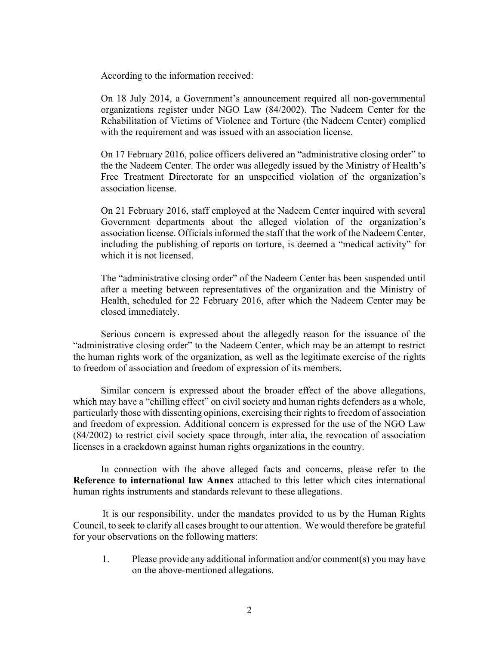According to the information received:

On 18 July 2014, a Government's announcement required all non-governmental organizations register under NGO Law (84/2002). The Nadeem Center for the Rehabilitation of Victims of Violence and Torture (the Nadeem Center) complied with the requirement and was issued with an association license.

On 17 February 2016, police officers delivered an "administrative closing order" to the the Nadeem Center. The order was allegedly issued by the Ministry of Health's Free Treatment Directorate for an unspecified violation of the organization's association license.

On 21 February 2016, staff employed at the Nadeem Center inquired with several Government departments about the alleged violation of the organization's association license. Officials informed the staff that the work of the Nadeem Center, including the publishing of reports on torture, is deemed a "medical activity" for which it is not licensed.

The "administrative closing order" of the Nadeem Center has been suspended until after a meeting between representatives of the organization and the Ministry of Health, scheduled for 22 February 2016, after which the Nadeem Center may be closed immediately.

Serious concern is expressed about the allegedly reason for the issuance of the "administrative closing order" to the Nadeem Center, which may be an attempt to restrict the human rights work of the organization, as well as the legitimate exercise of the rights to freedom of association and freedom of expression of its members.

Similar concern is expressed about the broader effect of the above allegations, which may have a "chilling effect" on civil society and human rights defenders as a whole, particularly those with dissenting opinions, exercising their rights to freedom of association and freedom of expression. Additional concern is expressed for the use of the NGO Law (84/2002) to restrict civil society space through, inter alia, the revocation of association licenses in a crackdown against human rights organizations in the country.

In connection with the above alleged facts and concerns, please refer to the **Reference to international law Annex** attached to this letter which cites international human rights instruments and standards relevant to these allegations.

It is our responsibility, under the mandates provided to us by the Human Rights Council, to seek to clarify all cases brought to our attention. We would therefore be grateful for your observations on the following matters:

1. Please provide any additional information and/or comment(s) you may have on the above-mentioned allegations.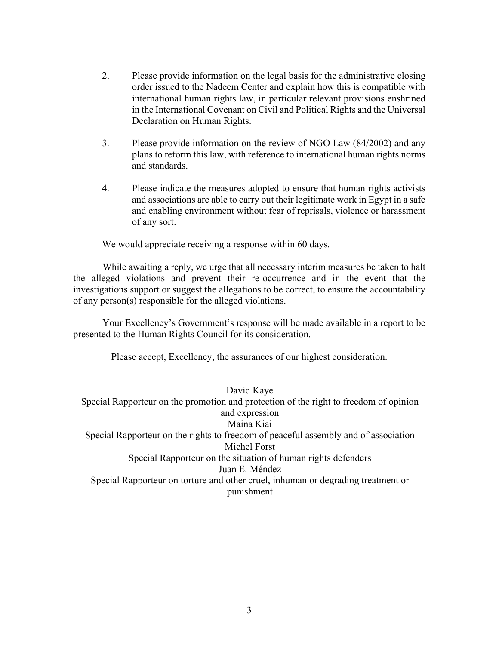- 2. Please provide information on the legal basis for the administrative closing order issued to the Nadeem Center and explain how this is compatible with international human rights law, in particular relevant provisions enshrined in the International Covenant on Civil and Political Rights and the Universal Declaration on Human Rights.
- 3. Please provide information on the review of NGO Law (84/2002) and any plans to reform this law, with reference to international human rights norms and standards.
- 4. Please indicate the measures adopted to ensure that human rights activists and associations are able to carry out their legitimate work in Egypt in a safe and enabling environment without fear of reprisals, violence or harassment of any sort.

We would appreciate receiving a response within 60 days.

While awaiting a reply, we urge that all necessary interim measures be taken to halt the alleged violations and prevent their re-occurrence and in the event that the investigations support or suggest the allegations to be correct, to ensure the accountability of any person(s) responsible for the alleged violations.

Your Excellency's Government's response will be made available in a report to be presented to the Human Rights Council for its consideration.

Please accept, Excellency, the assurances of our highest consideration.

David Kaye

Special Rapporteur on the promotion and protection of the right to freedom of opinion and expression Maina Kiai Special Rapporteur on the rights to freedom of peaceful assembly and of association Michel Forst Special Rapporteur on the situation of human rights defenders Juan E. Méndez Special Rapporteur on torture and other cruel, inhuman or degrading treatment or punishment